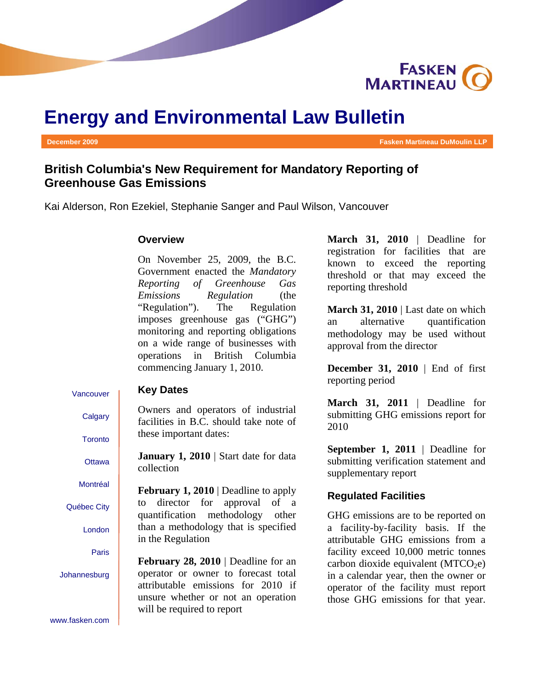

# **Energy and Environmental Law Bulletin**

**December 2009** Fasken Martineau DuMoulin LLP **Fasken Martineau DuMoulin LLP** 

# **British Columbia's New Requirement for Mandatory Reporting of Greenhouse Gas Emissions**

Kai Alderson, Ron Ezekiel, Stephanie Sanger and Paul Wilson, Vancouver

### **Overview**

On November 25, 2009, the B.C. Government enacted the *Mandatory Reporting of Greenhouse Gas Emissions Regulation* (the "Regulation"). The Regulation imposes greenhouse gas ("GHG") monitoring and reporting obligations on a wide range of businesses with operations in British Columbia commencing January 1, 2010.

#### Vancouver **Key Dates**

Owners and operators of industrial facilities in B.C. should take note of these important dates:

**January 1, 2010** | Start date for data collection

**February 1, 2010** | Deadline to apply to director for approval of a quantification methodology other than a methodology that is specified in the Regulation

**February 28, 2010** | Deadline for an operator or owner to forecast total attributable emissions for 2010 if unsure whether or not an operation will be required to report

**March 31, 2010** | Deadline for registration for facilities that are known to exceed the reporting threshold or that may exceed the reporting threshold

**March 31, 2010** | Last date on which an alternative quantification methodology may be used without approval from the director

**December 31, 2010** | End of first reporting period

**March 31, 2011** | Deadline for submitting GHG emissions report for 2010

**September 1, 2011** | Deadline for submitting verification statement and supplementary report

#### **Regulated Facilities**

GHG emissions are to be reported on a facility-by-facility basis. If the attributable GHG emissions from a facility exceed 10,000 metric tonnes carbon dioxide equivalent  $(MTCO<sub>2</sub>e)$ in a calendar year, then the owner or operator of the facility must report those GHG emissions for that year.

**Calgary** Toronto

**Ottawa** 

Montréal

Québec City

London

Paris

Johannesburg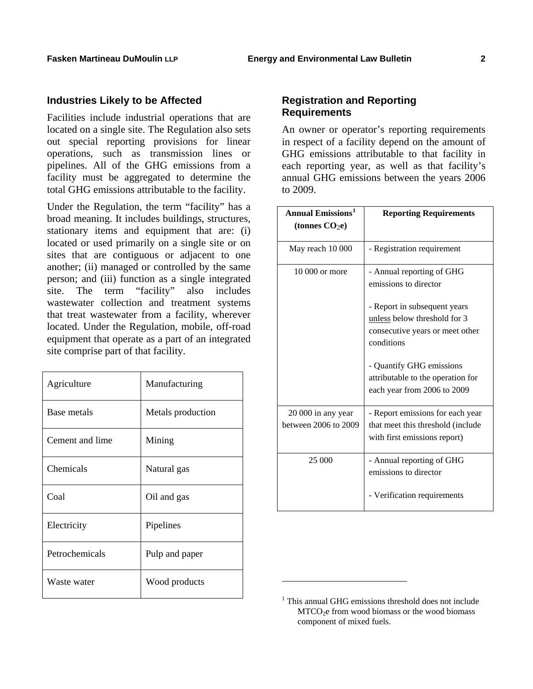## **Industries Likely to be Affected**

Facilities include industrial operations that are located on a single site. The Regulation also sets out special reporting provisions for linear operations, such as transmission lines or pipelines. All of the GHG emissions from a facility must be aggregated to determine the total GHG emissions attributable to the facility.

Under the Regulation, the term "facility" has a broad meaning. It includes buildings, structures, stationary items and equipment that are: (i) located or used primarily on a single site or on sites that are contiguous or adjacent to one another; (ii) managed or controlled by the same person; and (iii) function as a single integrated site. The term "facility" also includes wastewater collection and treatment systems that treat wastewater from a facility, wherever located. Under the Regulation, mobile, off-road equipment that operate as a part of an integrated site comprise part of that facility.

<span id="page-1-0"></span>

| Agriculture     | Manufacturing     |
|-----------------|-------------------|
| Base metals     | Metals production |
| Cement and lime | Mining            |
| Chemicals       | Natural gas       |
| Coal            | Oil and gas       |
| Electricity     | Pipelines         |
| Petrochemicals  | Pulp and paper    |
| Waste water     | Wood products     |

# **Registration and Reporting Requirements**

An owner or operator's reporting requirements in respect of a facility depend on the amount of GHG emissions attributable to that facility in each reporting year, as well as that facility's annual GHG emissions between the years 2006 to 2009.

| <b>Annual Emissions<sup>1</sup></b><br>(tonnes $CO2e$ ) | <b>Reporting Requirements</b>                                                                         |
|---------------------------------------------------------|-------------------------------------------------------------------------------------------------------|
| May reach 10 000                                        | - Registration requirement                                                                            |
| 10 000 or more                                          | - Annual reporting of GHG<br>emissions to director<br>- Report in subsequent years                    |
|                                                         | unless below threshold for 3<br>consecutive years or meet other<br>conditions                         |
|                                                         | - Quantify GHG emissions<br>attributable to the operation for<br>each year from 2006 to 2009          |
| 20 000 in any year<br>between 2006 to 2009              | - Report emissions for each year<br>that meet this threshold (include<br>with first emissions report) |
| 25 000                                                  | - Annual reporting of GHG<br>emissions to director                                                    |
|                                                         | - Verification requirements                                                                           |

l

<sup>&</sup>lt;sup>1</sup> This annual GHG emissions threshold does not include MTCO<sub>2</sub>e from wood biomass or the wood biomass component of mixed fuels.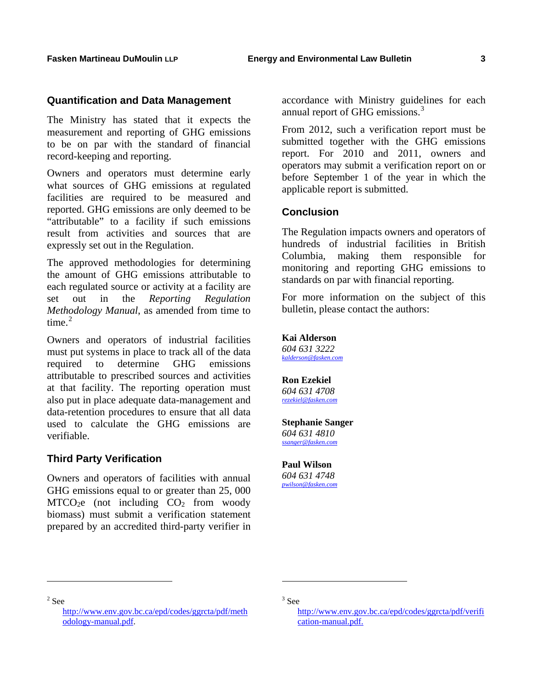### **Quantification and Data Management**

The Ministry has stated that it expects the measurement and reporting of GHG emissions to be on par with the standard of financial record-keeping and reporting.

Owners and operators must determine early what sources of GHG emissions at regulated facilities are required to be measured and reported. GHG emissions are only deemed to be "attributable" to a facility if such emissions result from activities and sources that are expressly set out in the Regulation.

The approved methodologies for determining the amount of GHG emissions attributable to each regulated source or activity at a facility are set out in the *Reporting Regulation Methodology Manual*, as amended from time to time $^2$  $^2$ 

Owners and operators of industrial facilities must put systems in place to track all of the data required to determine GHG emissions attributable to prescribed sources and activities at that facility. The reporting operation must also put in place adequate data-management and data-retention procedures to ensure that all data used to calculate the GHG emissions are verifiable.

#### **Third Party Verification**

Owners and operators of facilities with annual GHG emissions equal to or greater than 25, 000  $MTCO<sub>2</sub>e$  (not including  $CO<sub>2</sub>$  from woody biomass) must submit a verification statement prepared by an accredited third-party verifier in

accordance with Ministry guidelines for each annual report of GHG emissions.<sup>[3](#page-2-0)</sup>

From 2012, such a verification report must be submitted together with the GHG emissions report. For 2010 and 2011, owners and operators may submit a verification report on or before September 1 of the year in which the applicable report is submitted.

#### **Conclusion**

The Regulation impacts owners and operators of hundreds of industrial facilities in British Columbia, making them responsible for monitoring and reporting GHG emissions to standards on par with financial reporting.

For more information on the subject of this bulletin, please contact the authors:

**Kai Alderson**  *604 631 3222 [kalderson@fasken.com](mailto:kalderson@fasken.com)*

**Ron Ezekiel**  *604 631 4708 [rezekiel@fasken.com](mailto:rezekiel@fasken.com)*

#### **Stephanie Sanger**  *604 631 4810*

*[ssanger@fasken.com](mailto:ssanger@fasken.com)*

**Paul Wilson** 

*604 631 4748 [pwilson@fasken.com](mailto:pwilson@fasken.com)*

l

l

<span id="page-2-0"></span> $2$  See

[http://www.env.gov.bc.ca/epd/codes/ggrcta/pdf/meth](http://www.env.gov.bc.ca/epd/codes/ggrcta/pdf/methodology-manual.pdf) [odology-manual.pdf](http://www.env.gov.bc.ca/epd/codes/ggrcta/pdf/methodology-manual.pdf).

<sup>3</sup> See

[http://www.env.gov.bc.ca/epd/codes/ggrcta/pdf/verifi](http://www.env.gov.bc.ca/epd/codes/ggrcta/pdf/verification-manual.pdf.) [cation-manual.pdf.](http://www.env.gov.bc.ca/epd/codes/ggrcta/pdf/verification-manual.pdf.)